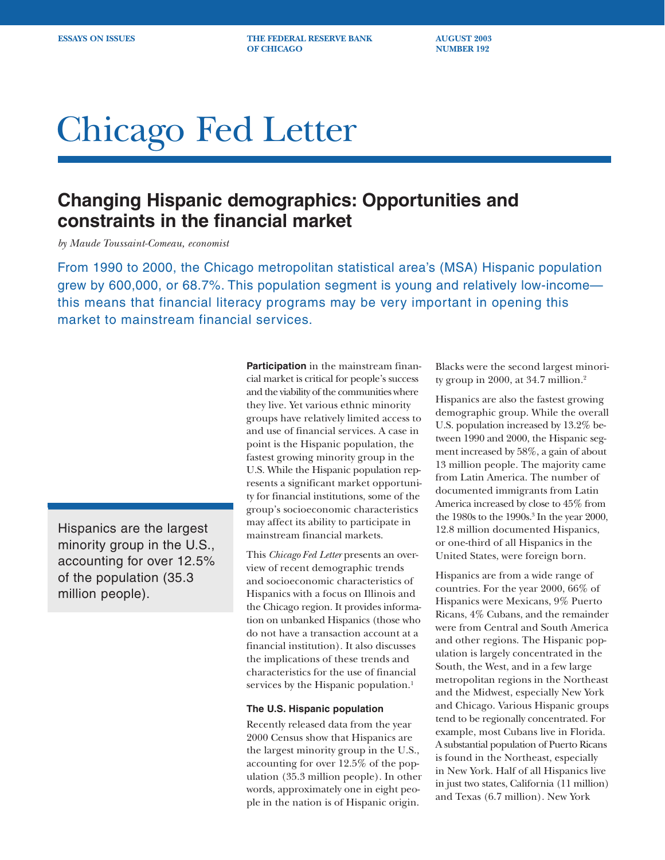**ESSAYS ON ISSUES THE FEDERAL RESERVE BANK AUGUST 2003 OF CHICAGO NUMBER 192** 

# Chicago Fed Letter

## **Changing Hispanic demographics: Opportunities and constraints in the financial market**

*by Maude Toussaint-Comeau, economist*

From 1990 to 2000, the Chicago metropolitan statistical area's (MSA) Hispanic population grew by 600,000, or 68.7%. This population segment is young and relatively low-income this means that financial literacy programs may be very important in opening this market to mainstream financial services.

Hispanics are the largest minority group in the U.S., accounting for over 12.5% of the population (35.3 million people).

**Participation** in the mainstream financial market is critical for people's success and the viability of the communities where they live. Yet various ethnic minority groups have relatively limited access to and use of financial services. A case in point is the Hispanic population, the fastest growing minority group in the U.S. While the Hispanic population represents a significant market opportunity for financial institutions, some of the group's socioeconomic characteristics may affect its ability to participate in mainstream financial markets.

This *Chicago Fed Letter* presents an overview of recent demographic trends and socioeconomic characteristics of Hispanics with a focus on Illinois and the Chicago region. It provides information on unbanked Hispanics (those who do not have a transaction account at a financial institution). It also discusses the implications of these trends and characteristics for the use of financial services by the Hispanic population.<sup>1</sup>

### **The U.S. Hispanic population**

Recently released data from the year 2000 Census show that Hispanics are the largest minority group in the U.S., accounting for over 12.5% of the population (35.3 million people). In other words, approximately one in eight people in the nation is of Hispanic origin.

Blacks were the second largest minority group in 2000, at 34.7 million.2

Hispanics are also the fastest growing demographic group. While the overall U.S. population increased by 13.2% between 1990 and 2000, the Hispanic segment increased by 58%, a gain of about 13 million people. The majority came from Latin America. The number of documented immigrants from Latin America increased by close to 45% from the 1980s to the 1990s.3 In the year 2000, 12.8 million documented Hispanics, or one-third of all Hispanics in the United States, were foreign born.

Hispanics are from a wide range of countries. For the year 2000, 66% of Hispanics were Mexicans, 9% Puerto Ricans, 4% Cubans, and the remainder were from Central and South America and other regions. The Hispanic population is largely concentrated in the South, the West, and in a few large metropolitan regions in the Northeast and the Midwest, especially New York and Chicago. Various Hispanic groups tend to be regionally concentrated. For example, most Cubans live in Florida. A substantial population of Puerto Ricans is found in the Northeast, especially in New York. Half of all Hispanics live in just two states, California (11 million) and Texas (6.7 million). New York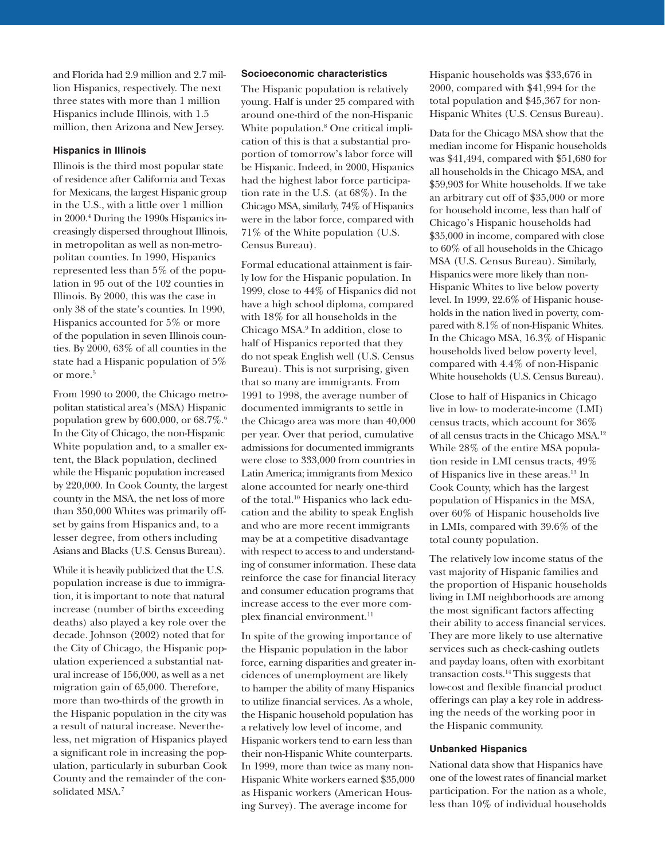and Florida had 2.9 million and 2.7 million Hispanics, respectively. The next three states with more than 1 million Hispanics include Illinois, with 1.5 million, then Arizona and New Jersey.

#### **Hispanics in Illinois**

Illinois is the third most popular state of residence after California and Texas for Mexicans, the largest Hispanic group in the U.S., with a little over 1 million in 2000.4 During the 1990s Hispanics increasingly dispersed throughout Illinois, in metropolitan as well as non-metropolitan counties. In 1990, Hispanics represented less than 5% of the population in 95 out of the 102 counties in Illinois. By 2000, this was the case in only 38 of the state's counties. In 1990, Hispanics accounted for 5% or more of the population in seven Illinois counties. By 2000, 63% of all counties in the state had a Hispanic population of 5% or more.<sup>5</sup>

From 1990 to 2000, the Chicago metropolitan statistical area's (MSA) Hispanic population grew by 600,000, or 68.7%.6 In the City of Chicago, the non-Hispanic White population and, to a smaller extent, the Black population, declined while the Hispanic population increased by 220,000. In Cook County, the largest county in the MSA, the net loss of more than 350,000 Whites was primarily offset by gains from Hispanics and, to a lesser degree, from others including Asians and Blacks (U.S. Census Bureau).

While it is heavily publicized that the U.S. population increase is due to immigration, it is important to note that natural increase (number of births exceeding deaths) also played a key role over the decade. Johnson (2002) noted that for the City of Chicago, the Hispanic population experienced a substantial natural increase of 156,000, as well as a net migration gain of 65,000. Therefore, more than two-thirds of the growth in the Hispanic population in the city was a result of natural increase. Nevertheless, net migration of Hispanics played a significant role in increasing the population, particularly in suburban Cook County and the remainder of the consolidated MSA.7

#### **Socioeconomic characteristics**

The Hispanic population is relatively young. Half is under 25 compared with around one-third of the non-Hispanic White population.8 One critical implication of this is that a substantial proportion of tomorrow's labor force will be Hispanic. Indeed, in 2000, Hispanics had the highest labor force participation rate in the U.S. (at 68%). In the Chicago MSA, similarly, 74% of Hispanics were in the labor force, compared with 71% of the White population (U.S. Census Bureau).

Formal educational attainment is fairly low for the Hispanic population. In 1999, close to 44% of Hispanics did not have a high school diploma, compared with 18% for all households in the Chicago MSA.9 In addition, close to half of Hispanics reported that they do not speak English well (U.S. Census Bureau). This is not surprising, given that so many are immigrants. From 1991 to 1998, the average number of documented immigrants to settle in the Chicago area was more than 40,000 per year. Over that period, cumulative admissions for documented immigrants were close to 333,000 from countries in Latin America; immigrants from Mexico alone accounted for nearly one-third of the total.10 Hispanics who lack education and the ability to speak English and who are more recent immigrants may be at a competitive disadvantage with respect to access to and understanding of consumer information. These data reinforce the case for financial literacy and consumer education programs that increase access to the ever more complex financial environment.<sup>11</sup>

In spite of the growing importance of the Hispanic population in the labor force, earning disparities and greater incidences of unemployment are likely to hamper the ability of many Hispanics to utilize financial services. As a whole, the Hispanic household population has a relatively low level of income, and Hispanic workers tend to earn less than their non-Hispanic White counterparts. In 1999, more than twice as many non-Hispanic White workers earned \$35,000 as Hispanic workers (American Housing Survey). The average income for

Hispanic households was \$33,676 in 2000, compared with \$41,994 for the total population and \$45,367 for non-Hispanic Whites (U.S. Census Bureau).

Data for the Chicago MSA show that the median income for Hispanic households was \$41,494, compared with \$51,680 for all households in the Chicago MSA, and \$59,903 for White households. If we take an arbitrary cut off of \$35,000 or more for household income, less than half of Chicago's Hispanic households had \$35,000 in income, compared with close to 60% of all households in the Chicago MSA (U.S. Census Bureau). Similarly, Hispanics were more likely than non-Hispanic Whites to live below poverty level. In 1999, 22.6% of Hispanic households in the nation lived in poverty, compared with 8.1% of non-Hispanic Whites. In the Chicago MSA, 16.3% of Hispanic households lived below poverty level, compared with 4.4% of non-Hispanic White households (U.S. Census Bureau).

Close to half of Hispanics in Chicago live in low- to moderate-income (LMI) census tracts, which account for 36% of all census tracts in the Chicago MSA.12 While 28% of the entire MSA population reside in LMI census tracts, 49% of Hispanics live in these areas.<sup>13</sup> In Cook County, which has the largest population of Hispanics in the MSA, over 60% of Hispanic households live in LMIs, compared with 39.6% of the total county population.

The relatively low income status of the vast majority of Hispanic families and the proportion of Hispanic households living in LMI neighborhoods are among the most significant factors affecting their ability to access financial services. They are more likely to use alternative services such as check-cashing outlets and payday loans, often with exorbitant transaction costs.14 This suggests that low-cost and flexible financial product offerings can play a key role in addressing the needs of the working poor in the Hispanic community.

#### **Unbanked Hispanics**

National data show that Hispanics have one of the lowest rates of financial market participation. For the nation as a whole, less than 10% of individual households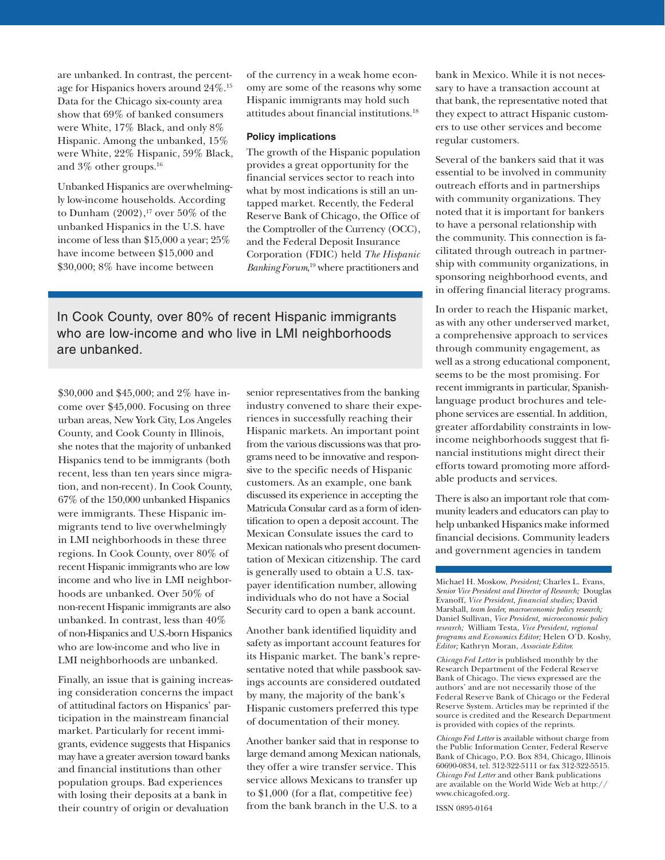are unbanked. In contrast, the percentage for Hispanics hovers around 24%.15 Data for the Chicago six-county area show that 69% of banked consumers were White, 17% Black, and only 8% Hispanic. Among the unbanked, 15% were White, 22% Hispanic, 59% Black, and 3% other groups.16

Unbanked Hispanics are overwhelmingly low-income households. According to Dunham  $(2002)$ ,<sup>17</sup> over 50% of the unbanked Hispanics in the U.S. have income of less than \$15,000 a year; 25% have income between \$15,000 and \$30,000; 8% have income between

of the currency in a weak home economy are some of the reasons why some Hispanic immigrants may hold such attitudes about financial institutions.18

#### **Policy implications**

The growth of the Hispanic population provides a great opportunity for the financial services sector to reach into what by most indications is still an untapped market. Recently, the Federal Reserve Bank of Chicago, the Office of the Comptroller of the Currency (OCC), and the Federal Deposit Insurance Corporation (FDIC) held *The Hispanic Banking Forum*, <sup>19</sup> where practitioners and

In Cook County, over 80% of recent Hispanic immigrants who are low-income and who live in LMI neighborhoods are unbanked.

\$30,000 and \$45,000; and 2% have income over \$45,000. Focusing on three urban areas, New York City, Los Angeles County, and Cook County in Illinois, she notes that the majority of unbanked Hispanics tend to be immigrants (both recent, less than ten years since migration, and non-recent). In Cook County, 67% of the 150,000 unbanked Hispanics were immigrants. These Hispanic immigrants tend to live overwhelmingly in LMI neighborhoods in these three regions. In Cook County, over 80% of recent Hispanic immigrants who are low income and who live in LMI neighborhoods are unbanked. Over 50% of non-recent Hispanic immigrants are also unbanked. In contrast, less than 40% of non-Hispanics and U.S.-born Hispanics who are low-income and who live in LMI neighborhoods are unbanked.

Finally, an issue that is gaining increasing consideration concerns the impact of attitudinal factors on Hispanics' participation in the mainstream financial market. Particularly for recent immigrants, evidence suggests that Hispanics may have a greater aversion toward banks and financial institutions than other population groups. Bad experiences with losing their deposits at a bank in their country of origin or devaluation

senior representatives from the banking industry convened to share their experiences in successfully reaching their Hispanic markets. An important point from the various discussions was that programs need to be innovative and responsive to the specific needs of Hispanic customers. As an example, one bank discussed its experience in accepting the Matricula Consular card as a form of identification to open a deposit account. The Mexican Consulate issues the card to Mexican nationals who present documentation of Mexican citizenship. The card is generally used to obtain a U.S. taxpayer identification number, allowing individuals who do not have a Social Security card to open a bank account.

Another bank identified liquidity and safety as important account features for its Hispanic market. The bank's representative noted that while passbook savings accounts are considered outdated by many, the majority of the bank's Hispanic customers preferred this type of documentation of their money.

Another banker said that in response to large demand among Mexican nationals, they offer a wire transfer service. This service allows Mexicans to transfer up to \$1,000 (for a flat, competitive fee) from the bank branch in the U.S. to a

bank in Mexico. While it is not necessary to have a transaction account at that bank, the representative noted that they expect to attract Hispanic customers to use other services and become regular customers.

Several of the bankers said that it was essential to be involved in community outreach efforts and in partnerships with community organizations. They noted that it is important for bankers to have a personal relationship with the community. This connection is facilitated through outreach in partnership with community organizations, in sponsoring neighborhood events, and in offering financial literacy programs.

In order to reach the Hispanic market, as with any other underserved market, a comprehensive approach to services through community engagement, as well as a strong educational component, seems to be the most promising. For recent immigrants in particular, Spanishlanguage product brochures and telephone services are essential. In addition, greater affordability constraints in lowincome neighborhoods suggest that financial institutions might direct their efforts toward promoting more affordable products and services.

There is also an important role that community leaders and educators can play to help unbanked Hispanics make informed financial decisions. Community leaders and government agencies in tandem

Michael H. Moskow, *President;* Charles L. Evans, *Senior Vice President and Director of Research;* Douglas Evanoff, *Vice President, financial studies;* David Marshall, *team leader, macroeconomic policy research;* Daniel Sullivan*, Vice President, microeconomic policy research;* William Testa, *Vice President, regional programs and Economics Editor;* Helen O'D. Koshy, *Editor;* Kathryn Moran, *Associate Editor.*

*Chicago Fed Letter* is published monthly by the Research Department of the Federal Reserve Bank of Chicago. The views expressed are the authors' and are not necessarily those of the Federal Reserve Bank of Chicago or the Federal Reserve System. Articles may be reprinted if the source is credited and the Research Department is provided with copies of the reprints.

*Chicago Fed Letter* is available without charge from the Public Information Center, Federal Reserve Bank of Chicago, P.O. Box 834, Chicago, Illinois 60690-0834, tel. 312-322-5111 or fax 312-322-5515. *Chicago Fed Letter* and other Bank publications are available on the World Wide Web at http:// www.chicagofed.org.

ISSN 0895-0164